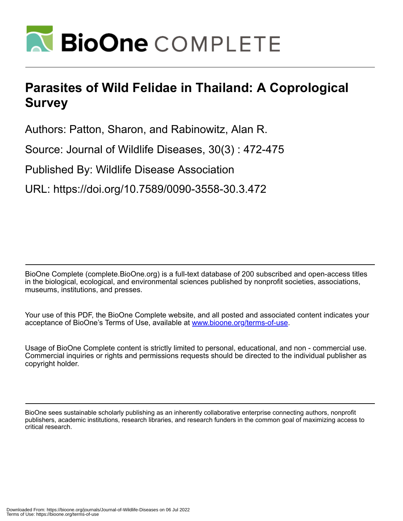

## **Parasites of Wild Felidae in Thailand: A Coprological Survey**

Authors: Patton, Sharon, and Rabinowitz, Alan R.

Source: Journal of Wildlife Diseases, 30(3) : 472-475

Published By: Wildlife Disease Association

URL: https://doi.org/10.7589/0090-3558-30.3.472

BioOne Complete (complete.BioOne.org) is a full-text database of 200 subscribed and open-access titles in the biological, ecological, and environmental sciences published by nonprofit societies, associations, museums, institutions, and presses.

Your use of this PDF, the BioOne Complete website, and all posted and associated content indicates your acceptance of BioOne's Terms of Use, available at www.bioone.org/terms-of-use.

Usage of BioOne Complete content is strictly limited to personal, educational, and non - commercial use. Commercial inquiries or rights and permissions requests should be directed to the individual publisher as copyright holder.

BioOne sees sustainable scholarly publishing as an inherently collaborative enterprise connecting authors, nonprofit publishers, academic institutions, research libraries, and research funders in the common goal of maximizing access to critical research.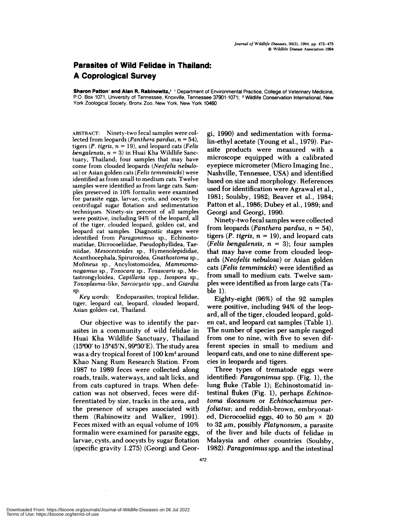## **Parasites of Wild Felidae in Thailand: A Coprological Survey**

**Sharon Patton and Alan R. Rabinowitz,2 'Department of Environmental Practice, College** of Veterinary Medicine, P.O. Box 1071, University of Tennessee, Knoxville, Tennessee 37901-1071; **2** Wildlife Conservation International, New York Zoological Society, Bronx Zoo, New York, New York 10460

**ABSTRACT:** Ninety-two fecal samples were collected from leopards *(Panthera pardus, n* **54),** tigers *(P. tigris, n* <sup>=</sup> 19), and leopard cats *(Felis bengalensis, n* <sup>=</sup> 3) in Huai Kha Wildlife Sanctuary, Thailand; four samples that may have come from clouded leopards *(Neofelis nebulosa)* or Asian golden cats *(Felis temminicki)* were identified as from small to medium cats. Twelve samples were identified as from large cats. Samples preserved in 10% formalin were examined for parasite eggs, larvae, cysts, and oocysts by centrifugal sugar flotation and sedimentation **techniques. Ninety-six percent of** all samples were positive, including 94% of the leopard, all of the tiger, clouded leopard, golden cat, and leopard cat samples. Diagnostic stages were identified from *Paragonimus* sp. **,** Echinostomatidae, Dicrocoeliidae, Pseudophyllidea, Taeniidae, *Mesocestoides* sp., Hymenolepididae, Acanthocephala, Spiruroidea, *Gnathostoma* sp., *Molineus* sp. **,** Ancylostomoidea, *Mammomonogamus* sp. **,** *Toxocara* sp. **,** *Toxascaris* sp. **,** Metastrongyloidea, *Capillaria* spp. **,** *Isospora* sp., *Toxoplasma-like, Sarcocystis* spp., and *Giardia* sp.

*Key words:* Endoparasites, tropical felidae, tiger, leopard cat, leopard, clouded leopard, Asian golden cat, Thailand.

Our objective was to identify the parasites in a community of wild felidae in Huai Kha Wildlife Sanctuary, Thailand  $(15°00'$  to  $15°45'N, 99°30'E)$ . The study area was a dry tropical forest of 100 km2 around Khao Nang Rum Research Station. From 1987 to 1989 feces were collected along roads, trails, waterways, and salt licks, and from cats captured in traps. When defecation was not observed, feces were differentiated by size, tracks in the area, and the presence of scrapes associated with them (Rabinowitz and Walker, 1991). Feces mixed with an equal volume of 10% formalin were examined for parasite eggs, larvae, cysts, and oocysts by sugar flotation (specific gravity 1.275) (Georgi and Georgi, 1990) and sedimentation with fonmalin-ethyl acetate (Young et al., 1979). Parasite products were measured with a microscope equipped with a calibrated eyepiece micrometer (Micro Imaging Inc., Nashville, Tennessee, USA) and identified based on size and morphology. References used for identification were Agrawal et al., 1981; Soulsby, 1982; Beaver et al., 1984; Patton et al., 1986; Dubey et al., 1989; and Georgi and Georgi, 1990.

Ninety-two fecal samples were collected from leopards *(Panthera pardus, n = 54)*, tigers  $(P.$  *tigris,*  $n = 19$ , and leopard cats *(Fells bengalensis, n* <sup>=</sup> 3); four samples that may have come from clouded leopards *(Neofells nebulosa)* on Asian golden cats *(Fells temminicki)* were identified as from small to medium cats. Twelve sam ples were identified as from large cats (Table 1).

Eighty-eight (96%) of the 92 samples were positive, including 94% of the leopard, all of the tiger, clouded leopard, gold en cat, and leopard cat samples (Table 1). The number of species per sample ranged from one to nine, with five to seven different species in small to medium and leopard cats, and one to nine different species in leopards and tigers.

Three types of trematode eggs were identified: Paragonimus spp. (Fig. 1), the lung fluke (Table 1); Echinostomatid intestinal flukes (Fig. 1), perhaps *Echinostoma ilocanum* or *Echinochasmus perfoliatus;* and reddish-brown, embryonated, Dicrocoeliid eggs, 40 to 50  $\mu$ m  $\times$  20 to  $32 \mu m$ , possibly *Platynosum*, a parasite of the liver and bile ducts of felidae in Malaysia and other countries (Soulsby, 1982). Paragonimus spp. and the intestinal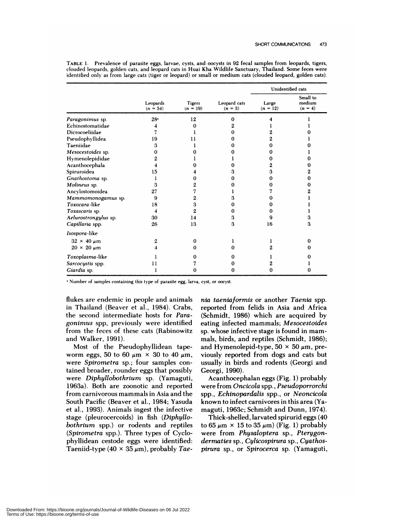|                        | Leopards<br>$(n = 54)$ | <b>Tigers</b><br>$(n = 19)$ | Leopard cats<br>$(n = 3)$ | Unidentified cats   |                                 |
|------------------------|------------------------|-----------------------------|---------------------------|---------------------|---------------------------------|
|                        |                        |                             |                           | Large<br>$(n = 12)$ | Small to<br>medium<br>$(n = 4)$ |
| Paragonimus sp.        | $28 -$                 | 12                          | 0                         |                     |                                 |
| Echinostomatidae       | 4                      | 0                           |                           |                     |                                 |
| Dicrocoeliidae         |                        |                             |                           |                     |                                 |
| Pseudophyllidea        | 19                     | 11                          |                           | 2                   |                                 |
| Taeniidae              | 3                      |                             |                           | 0                   |                                 |
| Mesocestoides sp.      | 0                      |                             |                           | 0                   |                                 |
| Hymenolepididae        |                        |                             |                           | 0                   | 0                               |
| Acanthocephala         |                        |                             |                           | 2                   | 0                               |
| Spiruroidea            | 15                     |                             | з                         | з                   | 2                               |
| Gnathostoma sp.        |                        | 0                           |                           | 0                   | 0                               |
| Molineus sp.           | 3                      | 2                           |                           | 0                   | 0                               |
| Ancylostomoidea        | 27                     | 7                           |                           |                     | 2                               |
| Mammomonogamus sp.     | 9                      | 2                           | з                         | 0                   |                                 |
| Toxocara-like          | 18                     | 3                           | 0                         | 0                   |                                 |
| Toxascaris sp.         | 4                      | $\mathbf{2}$                | 0                         | 0                   |                                 |
| Aelurostrongylus sp.   | 30                     | 14                          | 3                         | 9                   | 3                               |
| Capillaria spp.        | 26                     | 13                          | 3                         | 16                  | 3                               |
| Isospora-like          |                        |                             |                           |                     |                                 |
| $32 \times 40 \ \mu m$ | 2                      | 0                           |                           |                     | 0                               |
| $20 \times 20 \mu m$   |                        | 0                           | 0                         | 2                   | 0                               |
| Toxoplasma-like        |                        |                             |                           |                     |                                 |
| Sarcocystis spp.       | 11                     |                             |                           |                     |                                 |
| Giardia sp.            |                        | 0                           | o                         | 0                   | 0                               |

TABLE 1. Prevalence of parasite eggs, larvae, cysts, and oocysts in 92 fecal samples from leopards, tigers, clouded leopards, golden cats, and leopard cats in Huai Kha Wildlife Sanctuary, Thailand. Some feces were identified only as from large cats (tiger or leopard) or small or medium cats (clouded leopard, golden cats).

. Number of samples containing this type of parasite egg, larva, cyst, or oocyst.

flukes are endemic in people and animals in Thailand (Beaver et al., 1984). Crabs, the second intermediate hosts for *Paragonimus* spp, previously were identified from the feces of these cats (Rabinowitz and Walker, 1991).

Most of the Pseudophyllidean tapeworm eggs, 50 to 60  $\mu$ m  $\times$  30 to 40  $\mu$ m, were *Spirometra* sp.; four samples contained broader, rounder eggs that possibly were *Diphyllobothrium* sp. (Yamaguti, 1963a). Both are zoonotic and reported from carnivorous mammals in Asia and the South Pacific (Beaver et al., 1984; Yasuda et al., 1993). Animals ingest the infective stage (pleunocercoids) in fish *(Diphyllobothrium* spp.) on rodents and reptiles *(Spirometra* spp.). Three types of Cyclophyllidean cestode eggs were identified: Taeniid-type  $(40 \times 35 \mu m)$ , probably Tae*nia taeniaformis* or another *Taenia* spp. reported from felids in Asia and Africa (Schmidt, 1986) which are acquired by eating infected mammals; *Mesocestoides* sp. whose infective stage is found in mam mals, birds, and reptiles (Schmidt, 1986); and Hymenolepid-type,  $50 \times 50 \mu m$ , previously reported from dogs and cats but usually in birds and rodents (Georgi and Georgi, 1990).

Acanthocephalan eggs (Fig. 1) probably were from *Oncicola* spp. , *Pseudoporrorchi* spp., *Echinopardalis* spp., on *Neoncicola* known to infect carnivores in this area (Yamaguti, 1963c; Schmidt and Dunn, 1974).

Thick-shelled, larvated spirurid eggs (40 to  $65 \mu m \times 15$  to  $35 \mu m$ ) (Fig. 1) probably were from *Physaloptera* sp., *Pterygondermaties* sp., *Cylicospirura* sp., *Cyathospirura* sp., or *Spirocerca* sp. (Yamaguti,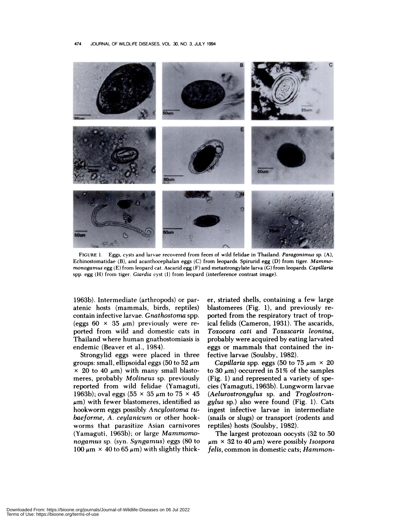

**FIGURE** 1. Eggs, cysts and larvae recovered from feces of wild felidae in Thailand. *Paragonimus* sp. (A), Echinostomatidae (B), and acanthocephalan eggs (C) from leopards. Spirurid egg (D) from tiger. *Mammomonogamus* egg (E) from leopard cat. Ascarid egg (F) and metastrongylate larva (C) from leopards. Capillaria spp. egg (H) from tiger. *Giardia* cyst (I) from leopard (interference contrast image).

1963b). Intermediate (arthropods) or paratenic hosts (mammals, birds, reptiles) contain infective larvae. *Gnathostorna* spp. (eggs 60  $\times$  35  $\mu$ m) previously were reported from wild and domestic cats in Thailand where human gnathostomiasis is endemic (Beaver et al., 1984).

Strongylid eggs were placed in three groups: small, ellipsoidal eggs (50 to 52  $\mu$ m)  $\times$  20 to 40  $\mu$ m) with many small blastomeres, probably *Molineus* sp. previously reported from wild felidae (Yamaguti, 1963b); oval eggs (55  $\times$  35  $\mu$ m to 75  $\times$  45  $\mu$ m) with fewer blastomeres, identified as hookworm eggs possibly *Ancylostoma tu baeforme, A. ceylanicum* or other hook worms that parasitize Asian carnivores (Yamaguti, 1963b); or large Mammomo*nogamus* sp. (syn. *Syngamus)* eggs (80 to 100  $\mu$ m  $\times$  40 to 65  $\mu$ m) with slightly thicken, striated shells, containing a few large blastomeres  $(Fig. 1)$ , and previously reported from the respiratory tract of tropical felids (Cameron, 1931). The ascanids, *Toxocara cati* and *Toxascaris leonina,* probably were acquired by eating larvated eggs or mammals that contained the infective larvae (Soulsby, 1982).

*Capillaria* spp. eggs (50 to 75  $\mu$ m  $\times$  20 to 30  $\mu$ m) occurred in 51% of the samples (Fig. 1) and represented a variety of species (Yamaguti, 1963b). Lungworm larvae (Aelurostrongylus sp. and Troglostrongylus sp.) also were found (Fig. 1). Cats ingest infective larvae in intermediate (snails on slugs) on transport (rodents and reptiles) hosts (Soulsby, 1982).

The largest protozoan oocysts (32 to 50  $\mu$ m × 32 to 40  $\mu$ m) were possibly Isospora *felis,* common in domestic cats; Hammon